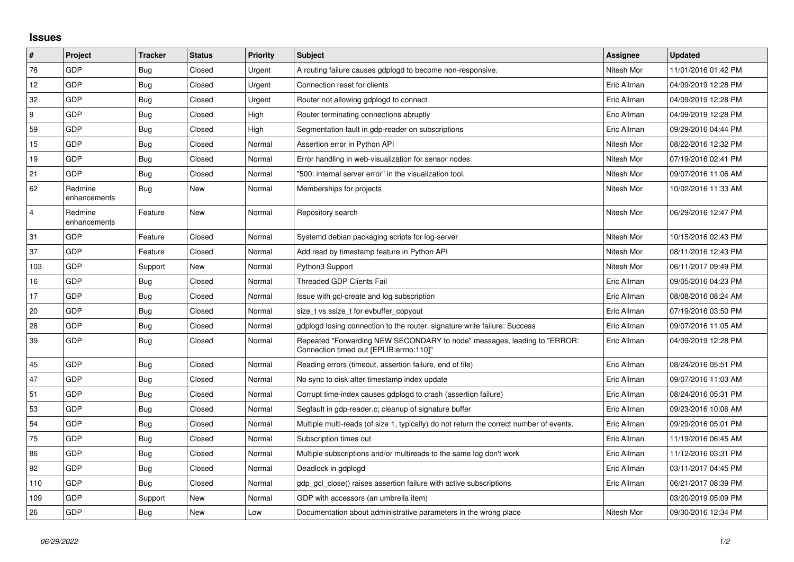## **Issues**

| $\vert$ #      | Project                 | <b>Tracker</b> | <b>Status</b> | <b>Priority</b> | <b>Subject</b>                                                                                                      | <b>Assignee</b> | <b>Updated</b>      |
|----------------|-------------------------|----------------|---------------|-----------------|---------------------------------------------------------------------------------------------------------------------|-----------------|---------------------|
| 78             | GDP                     | Bug            | Closed        | Urgent          | A routing failure causes gdplogd to become non-responsive.                                                          | Nitesh Mor      | 11/01/2016 01:42 PM |
| 12             | GDP                     | Bug            | Closed        | Urgent          | Connection reset for clients                                                                                        | Eric Allman     | 04/09/2019 12:28 PM |
| 32             | <b>GDP</b>              | <b>Bug</b>     | Closed        | Urgent          | Router not allowing gdplogd to connect                                                                              | Eric Allman     | 04/09/2019 12:28 PM |
| 9              | GDP                     | Bug            | Closed        | High            | Router terminating connections abruptly                                                                             | Eric Allman     | 04/09/2019 12:28 PM |
| 59             | GDP                     | Bug            | Closed        | High            | Segmentation fault in gdp-reader on subscriptions                                                                   | Eric Allman     | 09/29/2016 04:44 PM |
| 15             | <b>GDP</b>              | Bug            | Closed        | Normal          | Assertion error in Python API                                                                                       | Nitesh Mor      | 08/22/2016 12:32 PM |
| 19             | GDP                     | Bug            | Closed        | Normal          | Error handling in web-visualization for sensor nodes                                                                | Nitesh Mor      | 07/19/2016 02:41 PM |
| 21             | GDP                     | Bug            | Closed        | Normal          | "500: internal server error" in the visualization tool.                                                             | Nitesh Mor      | 09/07/2016 11:06 AM |
| 62             | Redmine<br>enhancements | Bug            | New           | Normal          | Memberships for projects                                                                                            | Nitesh Mor      | 10/02/2016 11:33 AM |
| $\overline{4}$ | Redmine<br>enhancements | Feature        | New           | Normal          | Repository search                                                                                                   | Nitesh Mor      | 06/29/2016 12:47 PM |
| 31             | GDP                     | Feature        | Closed        | Normal          | Systemd debian packaging scripts for log-server                                                                     | Nitesh Mor      | 10/15/2016 02:43 PM |
| 37             | <b>GDP</b>              | Feature        | Closed        | Normal          | Add read by timestamp feature in Python API                                                                         | Nitesh Mor      | 08/11/2016 12:43 PM |
| 103            | GDP                     | Support        | New           | Normal          | Python3 Support                                                                                                     | Nitesh Mor      | 06/11/2017 09:49 PM |
| 16             | GDP                     | Bug            | Closed        | Normal          | <b>Threaded GDP Clients Fail</b>                                                                                    | Eric Allman     | 09/05/2016 04:23 PM |
| 17             | GDP                     | <b>Bug</b>     | Closed        | Normal          | Issue with gcl-create and log subscription                                                                          | Eric Allman     | 08/08/2016 08:24 AM |
| 20             | GDP                     | <b>Bug</b>     | Closed        | Normal          | size t vs ssize t for evbuffer copyout                                                                              | Eric Allman     | 07/19/2016 03:50 PM |
| 28             | GDP                     | Bug            | Closed        | Normal          | gdplogd losing connection to the router. signature write failure: Success                                           | Eric Allman     | 09/07/2016 11:05 AM |
| 39             | GDP                     | Bug            | Closed        | Normal          | Repeated "Forwarding NEW SECONDARY to node" messages, leading to "ERROR:<br>Connection timed out [EPLIB:errno:110]" | Eric Allman     | 04/09/2019 12:28 PM |
| 45             | <b>GDP</b>              | Bug            | Closed        | Normal          | Reading errors (timeout, assertion failure, end of file)                                                            | Eric Allman     | 08/24/2016 05:51 PM |
| 47             | GDP                     | Bug            | Closed        | Normal          | No sync to disk after timestamp index update                                                                        | Eric Allman     | 09/07/2016 11:03 AM |
| 51             | GDP                     | <b>Bug</b>     | Closed        | Normal          | Corrupt time-index causes gdplogd to crash (assertion failure)                                                      | Eric Allman     | 08/24/2016 05:31 PM |
| 53             | <b>GDP</b>              | Bug            | Closed        | Normal          | Segfault in gdp-reader.c; cleanup of signature buffer                                                               | Eric Allman     | 09/23/2016 10:06 AM |
| 54             | GDP                     | Bug            | Closed        | Normal          | Multiple multi-reads (of size 1, typically) do not return the correct number of events.                             | Eric Allman     | 09/29/2016 05:01 PM |
| 75             | GDP                     | Bug            | Closed        | Normal          | Subscription times out                                                                                              | Eric Allman     | 11/19/2016 06:45 AM |
| 86             | <b>GDP</b>              | Bug            | Closed        | Normal          | Multiple subscriptions and/or multireads to the same log don't work                                                 | Eric Allman     | 11/12/2016 03:31 PM |
| 92             | GDP                     | Bug            | Closed        | Normal          | Deadlock in gdplogd                                                                                                 | Eric Allman     | 03/11/2017 04:45 PM |
| 110            | GDP                     | Bug            | Closed        | Normal          | gdp gcl close() raises assertion failure with active subscriptions                                                  | Eric Allman     | 06/21/2017 08:39 PM |
| 109            | <b>GDP</b>              | Support        | New           | Normal          | GDP with accessors (an umbrella item)                                                                               |                 | 03/20/2019 05:09 PM |
| 26             | <b>GDP</b>              | <b>Bug</b>     | <b>New</b>    | Low             | Documentation about administrative parameters in the wrong place                                                    | Nitesh Mor      | 09/30/2016 12:34 PM |